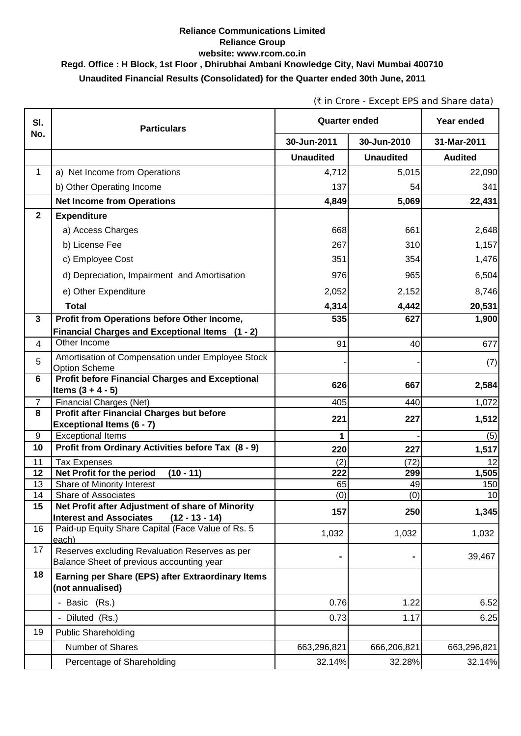## **Reliance Communications Limited Reliance Group website: www.rcom.co.in Regd. Office : H Block, 1st Floor , Dhirubhai Ambani Knowledge City, Navi Mumbai 400710 Unaudited Financial Results (Consolidated) for the Quarter ended 30th June, 2011**

(` in Crore - Except EPS and Share data)

| SI.              | <b>Quarter ended</b><br><b>Particulars</b>                                                  |                  |                  | Year ended     |
|------------------|---------------------------------------------------------------------------------------------|------------------|------------------|----------------|
| No.              |                                                                                             | 30-Jun-2011      | 30-Jun-2010      | 31-Mar-2011    |
|                  |                                                                                             | <b>Unaudited</b> | <b>Unaudited</b> | <b>Audited</b> |
| 1                | a) Net Income from Operations                                                               | 4,712            | 5,015            | 22,090         |
|                  | b) Other Operating Income                                                                   | 137              | 54               | 341            |
|                  | <b>Net Income from Operations</b>                                                           | 4,849            | 5,069            | 22,431         |
| $\mathbf{2}$     | <b>Expenditure</b>                                                                          |                  |                  |                |
|                  | a) Access Charges                                                                           | 668              | 661              | 2,648          |
|                  | b) License Fee                                                                              | 267              | 310              | 1,157          |
|                  | c) Employee Cost                                                                            | 351              | 354              | 1,476          |
|                  | d) Depreciation, Impairment and Amortisation                                                | 976              | 965              | 6,504          |
|                  | e) Other Expenditure                                                                        | 2,052            | 2,152            | 8,746          |
|                  | <b>Total</b>                                                                                | 4,314            | 4,442            | 20,531         |
| 3                | Profit from Operations before Other Income,                                                 | 535              | 627              | 1,900          |
|                  | Financial Charges and Exceptional Items (1 - 2)                                             |                  |                  |                |
| 4                | Other Income                                                                                | 91               | 40               | 677            |
| 5                | Amortisation of Compensation under Employee Stock<br><b>Option Scheme</b>                   |                  |                  | (7)            |
| 6                | <b>Profit before Financial Charges and Exceptional</b>                                      | 626              | 667              | 2,584          |
| $\overline{7}$   | Items $(3 + 4 - 5)$<br>Financial Charges (Net)                                              | 405              | 440              | 1,072          |
| 8                | <b>Profit after Financial Charges but before</b>                                            |                  |                  |                |
|                  | <b>Exceptional Items (6 - 7)</b>                                                            | 221              | 227              | 1,512          |
| $\boldsymbol{9}$ | <b>Exceptional Items</b>                                                                    | 1                |                  | (5)            |
| 10               | Profit from Ordinary Activities before Tax (8 - 9)                                          | 220              | 227              | 1,517          |
| 11               | <b>Tax Expenses</b>                                                                         | (2)              | (72)             | 12             |
| 12               | Net Profit for the period<br>$(10 - 11)$                                                    | 222              | 299              | 1,505          |
| 13<br>14         | Share of Minority Interest<br>Share of Associates                                           | 65<br>(0)        | 49<br>(0)        | 150<br>10      |
| 15               | Net Profit after Adjustment of share of Minority                                            |                  |                  |                |
|                  | <b>Interest and Associates</b><br>$(12 - 13 - 14)$                                          | 157              | 250              | 1,345          |
| 16               | Paid-up Equity Share Capital (Face Value of Rs. 5<br>each)                                  | 1,032            | 1,032            | 1,032          |
| 17               | Reserves excluding Revaluation Reserves as per<br>Balance Sheet of previous accounting year |                  |                  | 39,467         |
| 18               | Earning per Share (EPS) after Extraordinary Items<br>(not annualised)                       |                  |                  |                |
|                  | - Basic (Rs.)                                                                               | 0.76             | 1.22             | 6.52           |
|                  | - Diluted (Rs.)                                                                             | 0.73             | 1.17             | 6.25           |
| 19               | <b>Public Shareholding</b>                                                                  |                  |                  |                |
|                  | Number of Shares                                                                            | 663,296,821      | 666,206,821      | 663,296,821    |
|                  | Percentage of Shareholding                                                                  | 32.14%           | 32.28%           | 32.14%         |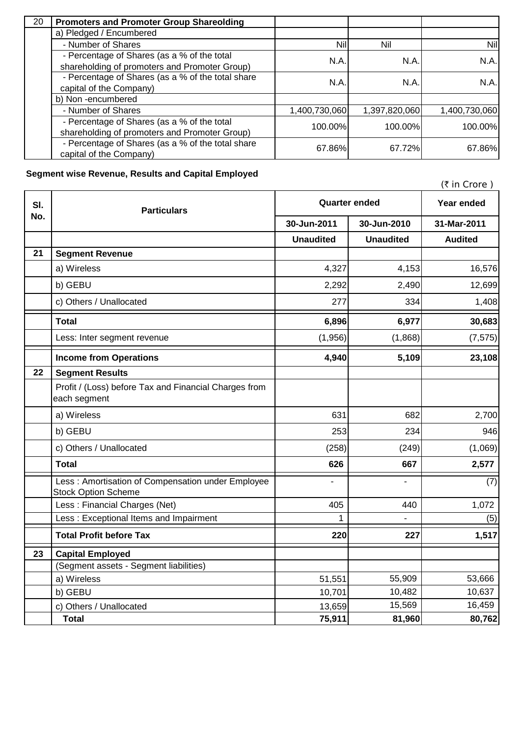| 20 | <b>Promoters and Promoter Group Shareolding</b>                                              |               |               |               |
|----|----------------------------------------------------------------------------------------------|---------------|---------------|---------------|
|    | a) Pledged / Encumbered                                                                      |               |               |               |
|    | - Number of Shares                                                                           | <b>Nil</b>    | Nil           | Nil           |
|    | - Percentage of Shares (as a % of the total<br>shareholding of promoters and Promoter Group) | N.A.          | N.A.          | N.A.          |
|    | - Percentage of Shares (as a % of the total share<br>capital of the Company)                 | N.A.          | N.A.          | N.A.          |
|    | b) Non-encumbered                                                                            |               |               |               |
|    | - Number of Shares                                                                           | 1,400,730,060 | 1,397,820,060 | 1,400,730,060 |
|    | - Percentage of Shares (as a % of the total<br>shareholding of promoters and Promoter Group) | 100.00%       | 100.00%       | 100.00%       |
|    | - Percentage of Shares (as a % of the total share<br>capital of the Company)                 | 67.86%        | 67.72%        | 67.86%        |

## **Segment wise Revenue, Results and Capital Employed**

|     |                                                                                 |                      |                  | (₹ in Crore)   |
|-----|---------------------------------------------------------------------------------|----------------------|------------------|----------------|
| SI. | <b>Particulars</b>                                                              | <b>Quarter ended</b> |                  | Year ended     |
| No. |                                                                                 | 30-Jun-2011          | 30-Jun-2010      | 31-Mar-2011    |
|     |                                                                                 | <b>Unaudited</b>     | <b>Unaudited</b> | <b>Audited</b> |
| 21  | <b>Segment Revenue</b>                                                          |                      |                  |                |
|     | a) Wireless                                                                     | 4,327                | 4,153            | 16,576         |
|     | b) GEBU                                                                         | 2,292                | 2,490            | 12,699         |
|     | c) Others / Unallocated                                                         | 277                  | 334              | 1,408          |
|     | <b>Total</b>                                                                    | 6,896                | 6,977            | 30,683         |
|     | Less: Inter segment revenue                                                     | (1,956)              | (1,868)          | (7, 575)       |
|     | <b>Income from Operations</b>                                                   | 4,940                | 5,109            | 23,108         |
| 22  | <b>Segment Results</b>                                                          |                      |                  |                |
|     | Profit / (Loss) before Tax and Financial Charges from<br>each segment           |                      |                  |                |
|     | a) Wireless                                                                     | 631                  | 682              | 2,700          |
|     | b) GEBU                                                                         | 253                  | 234              | 946            |
|     | c) Others / Unallocated                                                         | (258)                | (249)            | (1,069)        |
|     | <b>Total</b>                                                                    | 626                  | 667              | 2,577          |
|     | Less: Amortisation of Compensation under Employee<br><b>Stock Option Scheme</b> |                      |                  | (7)            |
|     | Less: Financial Charges (Net)                                                   | 405                  | 440              | 1,072          |
|     | Less: Exceptional Items and Impairment                                          |                      |                  | (5)            |
|     | <b>Total Profit before Tax</b>                                                  | 220                  | 227              | 1,517          |
| 23  | <b>Capital Employed</b>                                                         |                      |                  |                |
|     | (Segment assets - Segment liabilities)                                          |                      |                  |                |
|     | a) Wireless                                                                     | 51,551               | 55,909           | 53,666         |
|     | b) GEBU                                                                         | 10,701               | 10,482           | 10,637         |
|     | c) Others / Unallocated                                                         | 13,659               | 15,569           | 16,459         |
|     | <b>Total</b>                                                                    | 75,911               | 81,960           | 80,762         |